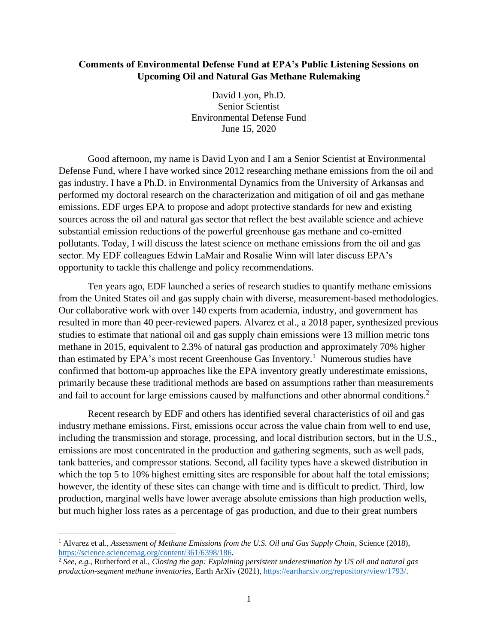## **Comments of Environmental Defense Fund at EPA's Public Listening Sessions on Upcoming Oil and Natural Gas Methane Rulemaking**

David Lyon, Ph.D. Senior Scientist Environmental Defense Fund June 15, 2020

Good afternoon, my name is David Lyon and I am a Senior Scientist at Environmental Defense Fund, where I have worked since 2012 researching methane emissions from the oil and gas industry. I have a Ph.D. in Environmental Dynamics from the University of Arkansas and performed my doctoral research on the characterization and mitigation of oil and gas methane emissions. EDF urges EPA to propose and adopt protective standards for new and existing sources across the oil and natural gas sector that reflect the best available science and achieve substantial emission reductions of the powerful greenhouse gas methane and co-emitted pollutants. Today, I will discuss the latest science on methane emissions from the oil and gas sector. My EDF colleagues Edwin LaMair and Rosalie Winn will later discuss EPA's opportunity to tackle this challenge and policy recommendations.

Ten years ago, EDF launched a series of research studies to quantify methane emissions from the United States oil and gas supply chain with diverse, measurement-based methodologies. Our collaborative work with over 140 experts from academia, industry, and government has resulted in more than 40 peer-reviewed papers. Alvarez et al., a 2018 paper, synthesized previous studies to estimate that national oil and gas supply chain emissions were 13 million metric tons methane in 2015, equivalent to 2.3% of natural gas production and approximately 70% higher than estimated by EPA's most recent Greenhouse Gas Inventory.<sup>1</sup> Numerous studies have confirmed that bottom-up approaches like the EPA inventory greatly underestimate emissions, primarily because these traditional methods are based on assumptions rather than measurements and fail to account for large emissions caused by malfunctions and other abnormal conditions.<sup>2</sup>

Recent research by EDF and others has identified several characteristics of oil and gas industry methane emissions. First, emissions occur across the value chain from well to end use, including the transmission and storage, processing, and local distribution sectors, but in the U.S., emissions are most concentrated in the production and gathering segments, such as well pads, tank batteries, and compressor stations. Second, all facility types have a skewed distribution in which the top 5 to 10% highest emitting sites are responsible for about half the total emissions; however, the identity of these sites can change with time and is difficult to predict. Third, low production, marginal wells have lower average absolute emissions than high production wells, but much higher loss rates as a percentage of gas production, and due to their great numbers

<sup>1</sup> Alvarez et al., *Assessment of Methane Emissions from the U.S. Oil and Gas Supply Chain*, Science (2018), [https://science.sciencemag.org/content/361/6398/186.](https://science.sciencemag.org/content/361/6398/186)

<sup>2</sup> *See, e.g.*, Rutherford et al., *Closing the gap: Explaining persistent underestimation by US oil and natural gas production-segment methane inventories*, Earth ArXiv (2021), [https://eartharxiv.org/repository/view/1793/.](https://eartharxiv.org/repository/view/1793/)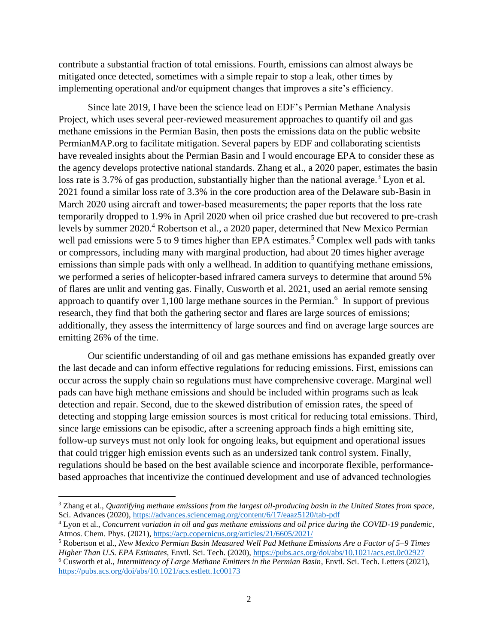contribute a substantial fraction of total emissions. Fourth, emissions can almost always be mitigated once detected, sometimes with a simple repair to stop a leak, other times by implementing operational and/or equipment changes that improves a site's efficiency.

Since late 2019, I have been the science lead on EDF's Permian Methane Analysis Project, which uses several peer-reviewed measurement approaches to quantify oil and gas methane emissions in the Permian Basin, then posts the emissions data on the public website PermianMAP.org to facilitate mitigation. Several papers by EDF and collaborating scientists have revealed insights about the Permian Basin and I would encourage EPA to consider these as the agency develops protective national standards. Zhang et al., a 2020 paper, estimates the basin loss rate is 3.7% of gas production, substantially higher than the national average.<sup>3</sup> Lyon et al. 2021 found a similar loss rate of 3.3% in the core production area of the Delaware sub-Basin in March 2020 using aircraft and tower-based measurements; the paper reports that the loss rate temporarily dropped to 1.9% in April 2020 when oil price crashed due but recovered to pre-crash levels by summer 2020. <sup>4</sup> Robertson et al., a 2020 paper, determined that New Mexico Permian well pad emissions were 5 to 9 times higher than EPA estimates.<sup>5</sup> Complex well pads with tanks or compressors, including many with marginal production, had about 20 times higher average emissions than simple pads with only a wellhead. In addition to quantifying methane emissions, we performed a series of helicopter-based infrared camera surveys to determine that around 5% of flares are unlit and venting gas. Finally, Cusworth et al. 2021, used an aerial remote sensing approach to quantify over  $1,100$  large methane sources in the Permian.<sup>6</sup> In support of previous research, they find that both the gathering sector and flares are large sources of emissions; additionally, they assess the intermittency of large sources and find on average large sources are emitting 26% of the time.

Our scientific understanding of oil and gas methane emissions has expanded greatly over the last decade and can inform effective regulations for reducing emissions. First, emissions can occur across the supply chain so regulations must have comprehensive coverage. Marginal well pads can have high methane emissions and should be included within programs such as leak detection and repair. Second, due to the skewed distribution of emission rates, the speed of detecting and stopping large emission sources is most critical for reducing total emissions. Third, since large emissions can be episodic, after a screening approach finds a high emitting site, follow-up surveys must not only look for ongoing leaks, but equipment and operational issues that could trigger high emission events such as an undersized tank control system. Finally, regulations should be based on the best available science and incorporate flexible, performancebased approaches that incentivize the continued development and use of advanced technologies

<sup>3</sup> Zhang et al., *Quantifying methane emissions from the largest oil-producing basin in the United States from space*, Sci. Advances (2020),<https://advances.sciencemag.org/content/6/17/eaaz5120/tab-pdf>

<sup>4</sup> Lyon et al., *Concurrent variation in oil and gas methane emissions and oil price during the COVID-19 pandemic*, Atmos. Chem. Phys. (2021)[, https://acp.copernicus.org/articles/21/6605/2021/](https://acp.copernicus.org/articles/21/6605/2021/)

<sup>5</sup> Robertson et al., *New Mexico Permian Basin Measured Well Pad Methane Emissions Are a Factor of 5–9 Times Higher Than U.S. EPA Estimates*, Envtl. Sci. Tech. (2020),<https://pubs.acs.org/doi/abs/10.1021/acs.est.0c02927>

<sup>6</sup> Cusworth et al., *Intermittency of Large Methane Emitters in the Permian Basin*, Envtl. Sci. Tech. Letters (2021), <https://pubs.acs.org/doi/abs/10.1021/acs.estlett.1c00173>